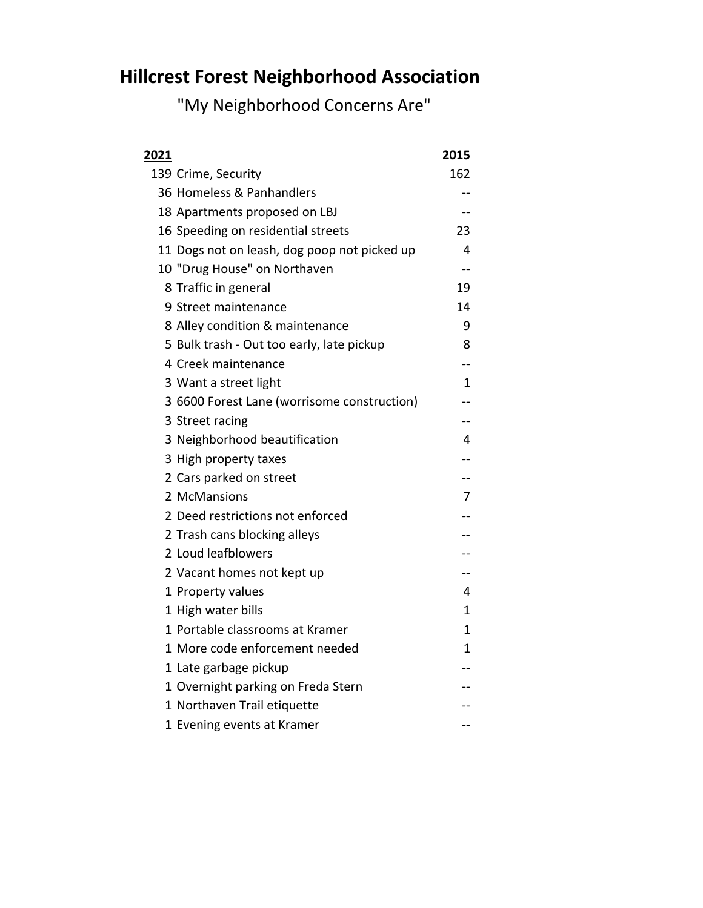## **Hillcrest Forest Neighborhood Association**

"My Neighborhood Concerns Are"

| <u> 2021</u> |                                              | 2015 |
|--------------|----------------------------------------------|------|
|              | 139 Crime, Security                          | 162  |
|              | 36 Homeless & Panhandlers                    |      |
|              | 18 Apartments proposed on LBJ                |      |
|              | 16 Speeding on residential streets           | 23   |
|              | 11 Dogs not on leash, dog poop not picked up | 4    |
|              | 10 "Drug House" on Northaven                 |      |
|              | 8 Traffic in general                         | 19   |
|              | 9 Street maintenance                         | 14   |
|              | 8 Alley condition & maintenance              | 9    |
|              | 5 Bulk trash - Out too early, late pickup    | 8    |
|              | 4 Creek maintenance                          |      |
|              | 3 Want a street light                        | 1    |
|              | 3 6600 Forest Lane (worrisome construction)  |      |
|              | 3 Street racing                              |      |
|              | 3 Neighborhood beautification                | 4    |
|              | 3 High property taxes                        |      |
|              | 2 Cars parked on street                      |      |
|              | 2 McMansions                                 | 7    |
|              | 2 Deed restrictions not enforced             |      |
|              | 2 Trash cans blocking alleys                 |      |
|              | 2 Loud leafblowers                           |      |
|              | 2 Vacant homes not kept up                   |      |
|              | 1 Property values                            | 4    |
|              | 1 High water bills                           | 1    |
|              | 1 Portable classrooms at Kramer              | 1    |
|              | 1 More code enforcement needed               | 1    |
|              | 1 Late garbage pickup                        |      |
|              | 1 Overnight parking on Freda Stern           |      |
|              | 1 Northaven Trail etiquette                  |      |
|              | 1 Evening events at Kramer                   |      |